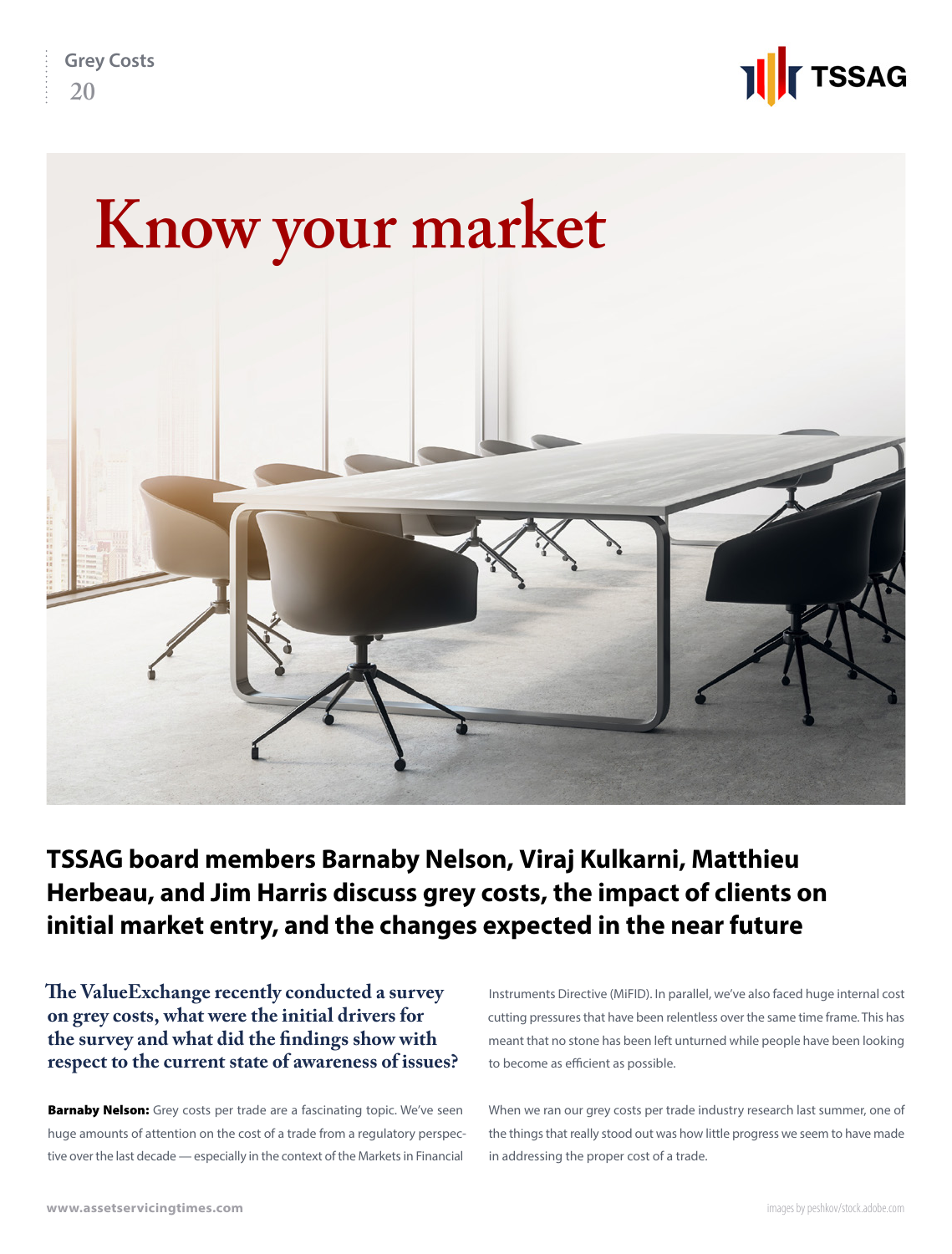



### **TSSAG board members Barnaby Nelson, Viraj Kulkarni, Matthieu Herbeau, and Jim Harris discuss grey costs, the impact of clients on initial market entry, and the changes expected in the near future**

**The ValueExchange recently conducted a survey on grey costs, what were the initial drivers for the survey and what did the findings show with respect to the current state of awareness of issues?**

**Barnaby Nelson:** Grey costs per trade are a fascinating topic. We've seen huge amounts of attention on the cost of a trade from a regulatory perspective over the last decade — especially in the context of the Markets in Financial

Instruments Directive (MiFID). In parallel, we've also faced huge internal cost cutting pressures that have been relentless over the same time frame. This has meant that no stone has been left unturned while people have been looking to become as efficient as possible.

When we ran our grey costs per trade industry research last summer, one of the things that really stood out was how little progress we seem to have made in addressing the proper cost of a trade.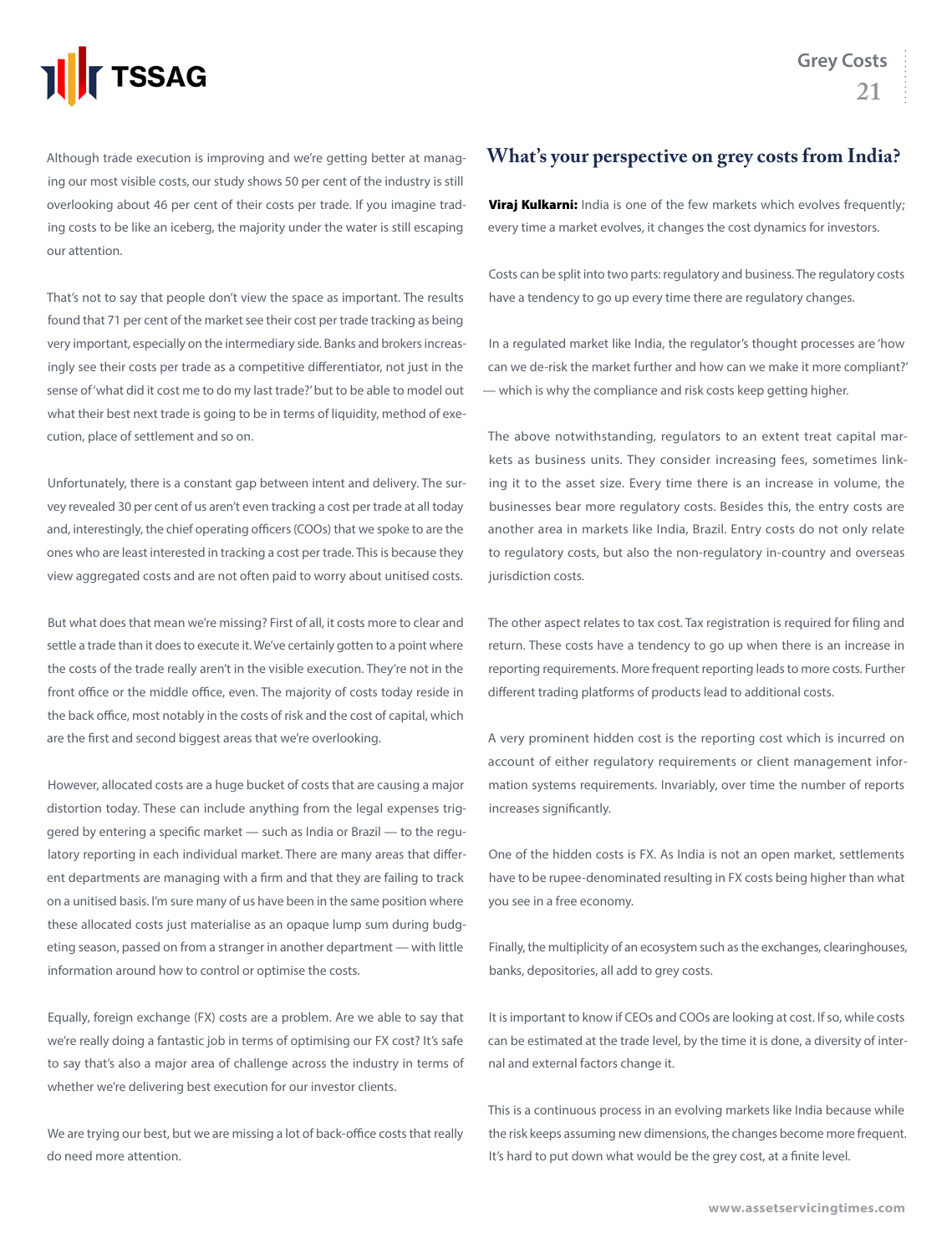

Although trade execution is improving and we're getting better at managing our most visible costs, our study shows 50 per cent of the industry is still overlooking about 46 per cent of their costs per trade. If you imagine trading costs to be like an iceberg, the majority under the water is still escaping our attention.

That's not to say that people don't view the space as important. The results found that 71 per cent of the market see their cost per trade tracking as being very important, especially on the intermediary side. Banks and brokers increasingly see their costs per trade as a competitive differentiator, not just in the sense of 'what did it cost me to do my last trade?' but to be able to model out what their best next trade is going to be in terms of liquidity, method of execution, place of settlement and so on.

Unfortunately, there is a constant gap between intent and delivery. The survey revealed 30 per cent of us aren't even tracking a cost per trade at all today and, interestingly, the chief operating officers (COOs) that we spoke to are the ones who are least interested in tracking a cost per trade. This is because they view aggregated costs and are not often paid to worry about unitised costs.

But what does that mean we're missing? First of all, it costs more to clear and settle a trade than it does to execute it. We've certainly gotten to a point where the costs of the trade really aren't in the visible execution. They're not in the front office or the middle office, even. The majority of costs today reside in the back office, most notably in the costs of risk and the cost of capital, which are the first and second biggest areas that we're overlooking.

However, allocated costs are a huge bucket of costs that are causing a major distortion today. These can include anything from the legal expenses triggered by entering a specific market — such as India or Brazil — to the regulatory reporting in each individual market. There are many areas that different departments are managing with a firm and that they are failing to track on a unitised basis. I'm sure many of us have been in the same position where these allocated costs just materialise as an opaque lump sum during budgeting season, passed on from a stranger in another department — with little information around how to control or optimise the costs.

Equally, foreign exchange (FX) costs are a problem. Are we able to say that we're really doing a fantastic job in terms of optimising our FX cost? It's safe to say that's also a major area of challenge across the industry in terms of whether we're delivering best execution for our investor clients.

We are trying our best, but we are missing a lot of back-office costs that really do need more attention.

#### **What's your perspective on grey costs from India?**

Viraj Kulkarni: India is one of the few markets which evolves frequently; every time a market evolves, it changes the cost dynamics for investors.

Costs can be split into two parts: regulatory and business. The regulatory costs have a tendency to go up every time there are regulatory changes.

In a regulated market like India, the regulator's thought processes are 'how can we de-risk the market further and how can we make it more compliant?' — which is why the compliance and risk costs keep getting higher.

The above notwithstanding, regulators to an extent treat capital markets as business units. They consider increasing fees, sometimes linking it to the asset size. Every time there is an increase in volume, the businesses bear more regulatory costs. Besides this, the entry costs are another area in markets like India, Brazil. Entry costs do not only relate to regulatory costs, but also the non-regulatory in-country and overseas jurisdiction costs.

The other aspect relates to tax cost. Tax registration is required for filing and return. These costs have a tendency to go up when there is an increase in reporting requirements. More frequent reporting leads to more costs. Further different trading platforms of products lead to additional costs.

A very prominent hidden cost is the reporting cost which is incurred on account of either regulatory requirements or client management information systems requirements. Invariably, over time the number of reports increases significantly.

One of the hidden costs is FX. As India is not an open market, settlements have to be rupee-denominated resulting in FX costs being higher than what you see in a free economy.

Finally, the multiplicity of an ecosystem such as the exchanges, clearinghouses, banks, depositories, all add to grey costs.

It is important to know if CEOs and COOs are looking at cost. If so, while costs can be estimated at the trade level, by the time it is done, a diversity of internal and external factors change it.

This is a continuous process in an evolving markets like India because while the risk keeps assuming new dimensions, the changes become more frequent. It's hard to put down what would be the grey cost, at a finite level.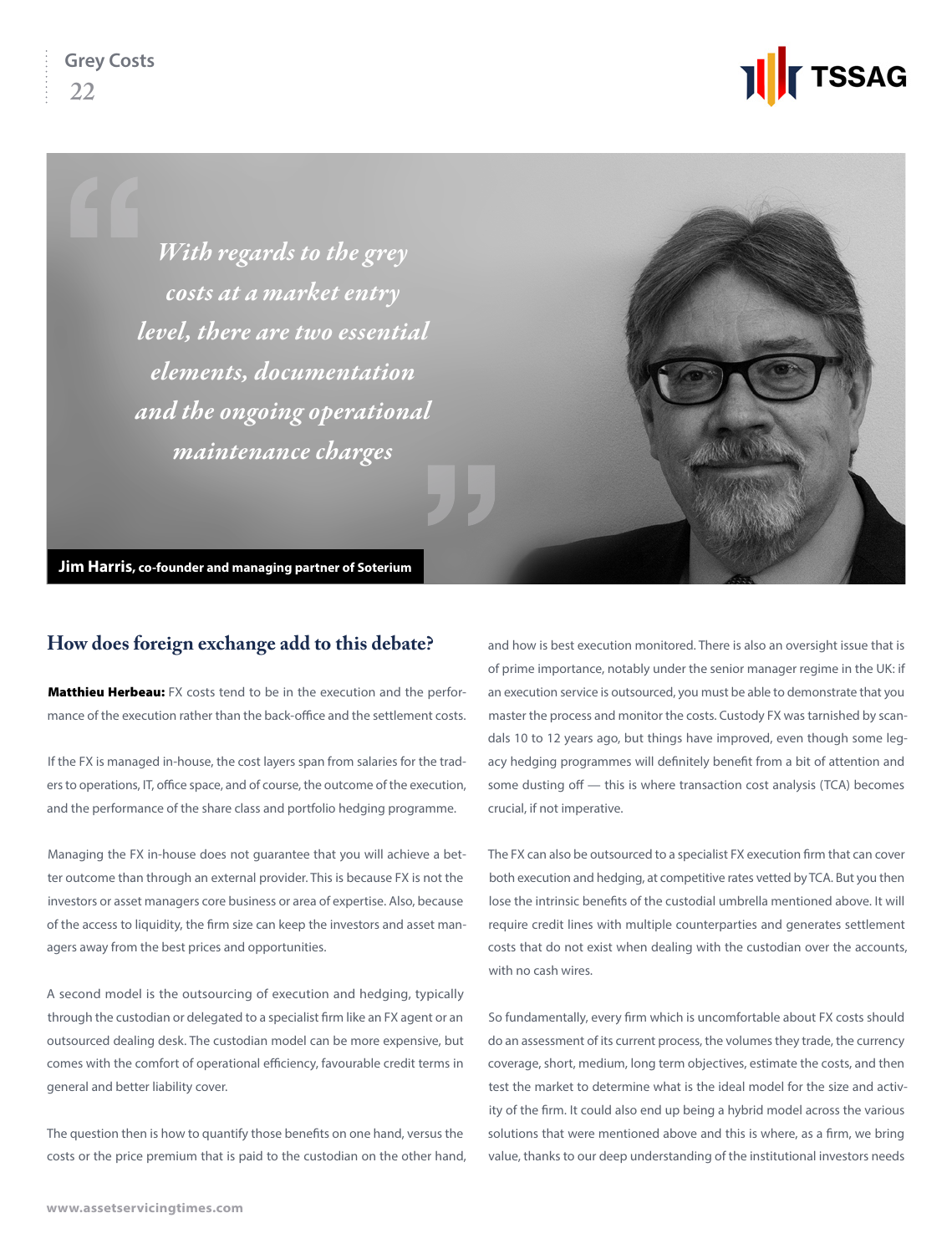**TSSAG** 

*With regards to the grey costs at a market entry level, there are two essential elements, documentation and the ongoing operational maintenance charges*

**Jim Harris, co-founder and managing partner of Soterium**

#### **How does foreign exchange add to this debate?**

Matthieu Herbeau: FX costs tend to be in the execution and the performance of the execution rather than the back-office and the settlement costs.

If the FX is managed in-house, the cost layers span from salaries for the traders to operations, IT, office space, and of course, the outcome of the execution, and the performance of the share class and portfolio hedging programme.

Managing the FX in-house does not guarantee that you will achieve a better outcome than through an external provider. This is because FX is not the investors or asset managers core business or area of expertise. Also, because of the access to liquidity, the firm size can keep the investors and asset managers away from the best prices and opportunities.

A second model is the outsourcing of execution and hedging, typically through the custodian or delegated to a specialist firm like an FX agent or an outsourced dealing desk. The custodian model can be more expensive, but comes with the comfort of operational efficiency, favourable credit terms in general and better liability cover.

The question then is how to quantify those benefits on one hand, versus the costs or the price premium that is paid to the custodian on the other hand, and how is best execution monitored. There is also an oversight issue that is of prime importance, notably under the senior manager regime in the UK: if an execution service is outsourced, you must be able to demonstrate that you master the process and monitor the costs. Custody FX was tarnished by scandals 10 to 12 years ago, but things have improved, even though some legacy hedging programmes will definitely benefit from a bit of attention and some dusting off — this is where transaction cost analysis (TCA) becomes crucial, if not imperative.

The FX can also be outsourced to a specialist FX execution firm that can cover both execution and hedging, at competitive rates vetted by TCA. But you then lose the intrinsic benefits of the custodial umbrella mentioned above. It will require credit lines with multiple counterparties and generates settlement costs that do not exist when dealing with the custodian over the accounts, with no cash wires.

So fundamentally, every firm which is uncomfortable about FX costs should do an assessment of its current process, the volumes they trade, the currency coverage, short, medium, long term objectives, estimate the costs, and then test the market to determine what is the ideal model for the size and activity of the firm. It could also end up being a hybrid model across the various solutions that were mentioned above and this is where, as a firm, we bring value, thanks to our deep understanding of the institutional investors needs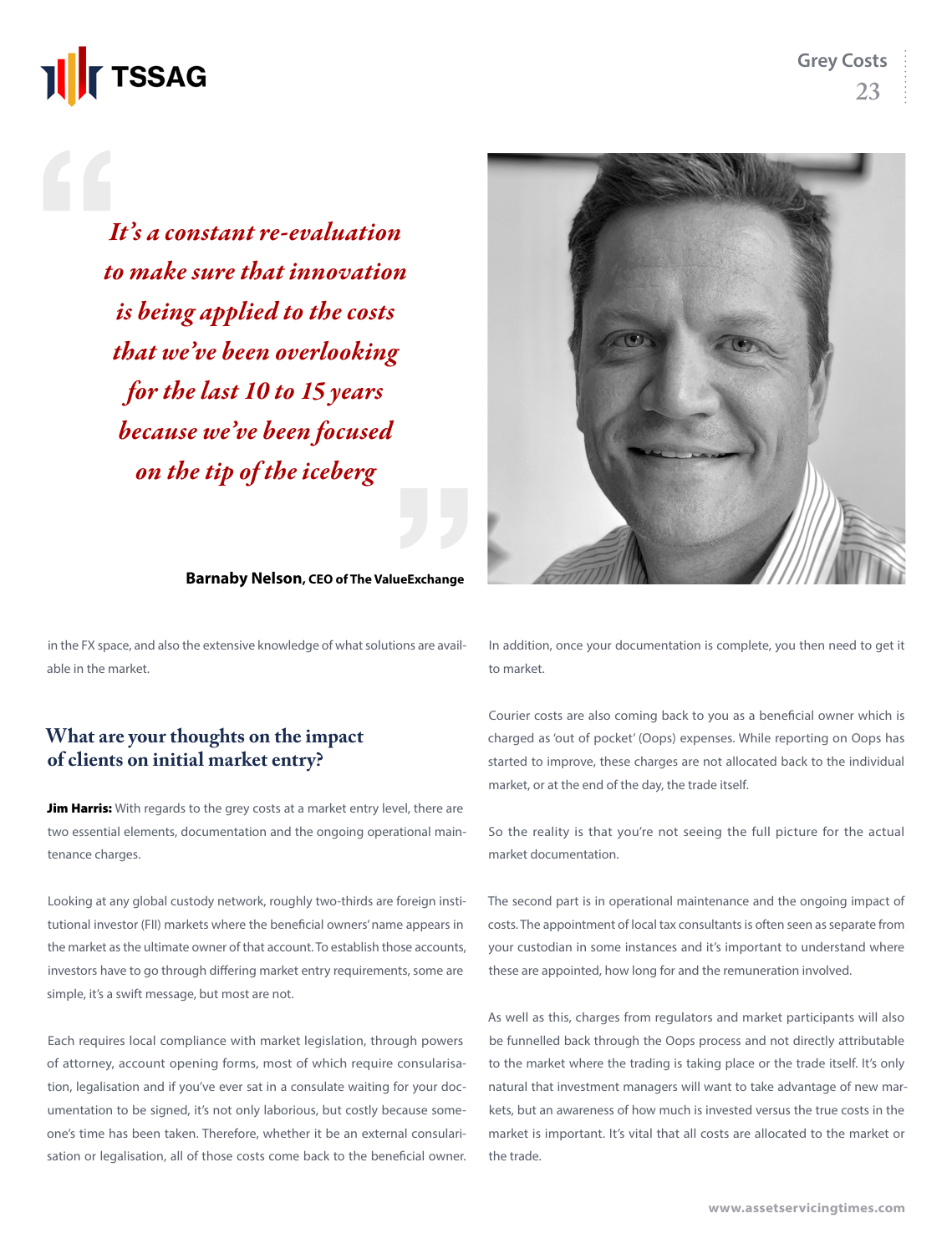## **TSSAG**

*It's a constant re-evaluation to make sure that innovation is being applied to the costs that we've been overlooking for the last 10 to 15 years because we've been focused on the tip of the iceberg*



**Barnaby Nelson, CEO of The ValueExchange**

in the FX space, and also the extensive knowledge of what solutions are available in the market.

#### **What are your thoughts on the impact of clients on initial market entry?**

Jim Harris: With regards to the grey costs at a market entry level, there are two essential elements, documentation and the ongoing operational maintenance charges.

Looking at any global custody network, roughly two-thirds are foreign institutional investor (FII) markets where the beneficial owners' name appears in the market as the ultimate owner of that account. To establish those accounts, investors have to go through differing market entry requirements, some are simple, it's a swift message, but most are not.

Each requires local compliance with market legislation, through powers of attorney, account opening forms, most of which require consularisation, legalisation and if you've ever sat in a consulate waiting for your documentation to be signed, it's not only laborious, but costly because someone's time has been taken. Therefore, whether it be an external consularisation or legalisation, all of those costs come back to the beneficial owner. In addition, once your documentation is complete, you then need to get it to market.

Courier costs are also coming back to you as a beneficial owner which is charged as 'out of pocket' (Oops) expenses. While reporting on Oops has started to improve, these charges are not allocated back to the individual market, or at the end of the day, the trade itself.

So the reality is that you're not seeing the full picture for the actual market documentation.

The second part is in operational maintenance and the ongoing impact of costs. The appointment of local tax consultants is often seen as separate from your custodian in some instances and it's important to understand where these are appointed, how long for and the remuneration involved.

As well as this, charges from regulators and market participants will also be funnelled back through the Oops process and not directly attributable to the market where the trading is taking place or the trade itself. It's only natural that investment managers will want to take advantage of new markets, but an awareness of how much is invested versus the true costs in the market is important. It's vital that all costs are allocated to the market or the trade.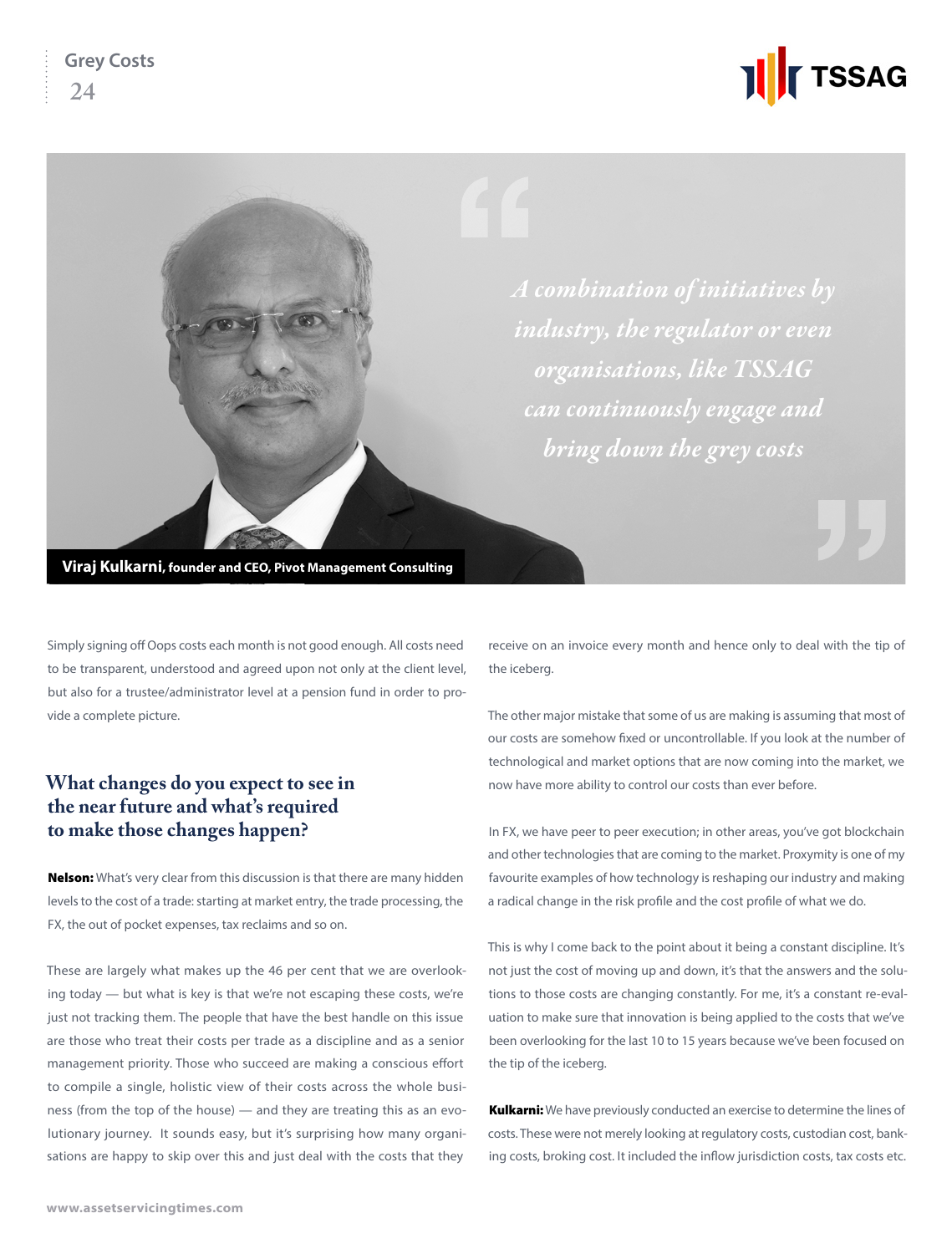

*industry, the regulator or even organisations, like TSSAG can continuously engage and bring down the grey costs*

**Viraj Kulkarni, founder and CEO, Pivot Management Consulting**

Simply signing off Oops costs each month is not good enough. All costs need to be transparent, understood and agreed upon not only at the client level, but also for a trustee/administrator level at a pension fund in order to provide a complete picture.

#### **What changes do you expect to see in the near future and what's required to make those changes happen?**

**Nelson:** What's very clear from this discussion is that there are many hidden levels to the cost of a trade: starting at market entry, the trade processing, the FX, the out of pocket expenses, tax reclaims and so on.

These are largely what makes up the 46 per cent that we are overlooking today — but what is key is that we're not escaping these costs, we're just not tracking them. The people that have the best handle on this issue are those who treat their costs per trade as a discipline and as a senior management priority. Those who succeed are making a conscious effort to compile a single, holistic view of their costs across the whole business (from the top of the house) — and they are treating this as an evolutionary journey. It sounds easy, but it's surprising how many organisations are happy to skip over this and just deal with the costs that they

receive on an invoice every month and hence only to deal with the tip of the iceberg.

The other major mistake that some of us are making is assuming that most of our costs are somehow fixed or uncontrollable. If you look at the number of technological and market options that are now coming into the market, we now have more ability to control our costs than ever before.

In FX, we have peer to peer execution; in other areas, you've got blockchain and other technologies that are coming to the market. Proxymity is one of my favourite examples of how technology is reshaping our industry and making a radical change in the risk profile and the cost profile of what we do.

This is why I come back to the point about it being a constant discipline. It's not just the cost of moving up and down, it's that the answers and the solutions to those costs are changing constantly. For me, it's a constant re-evaluation to make sure that innovation is being applied to the costs that we've been overlooking for the last 10 to 15 years because we've been focused on the tip of the iceberg.

Kulkarni: We have previously conducted an exercise to determine the lines of costs. These were not merely looking at regulatory costs, custodian cost, banking costs, broking cost. It included the inflow jurisdiction costs, tax costs etc.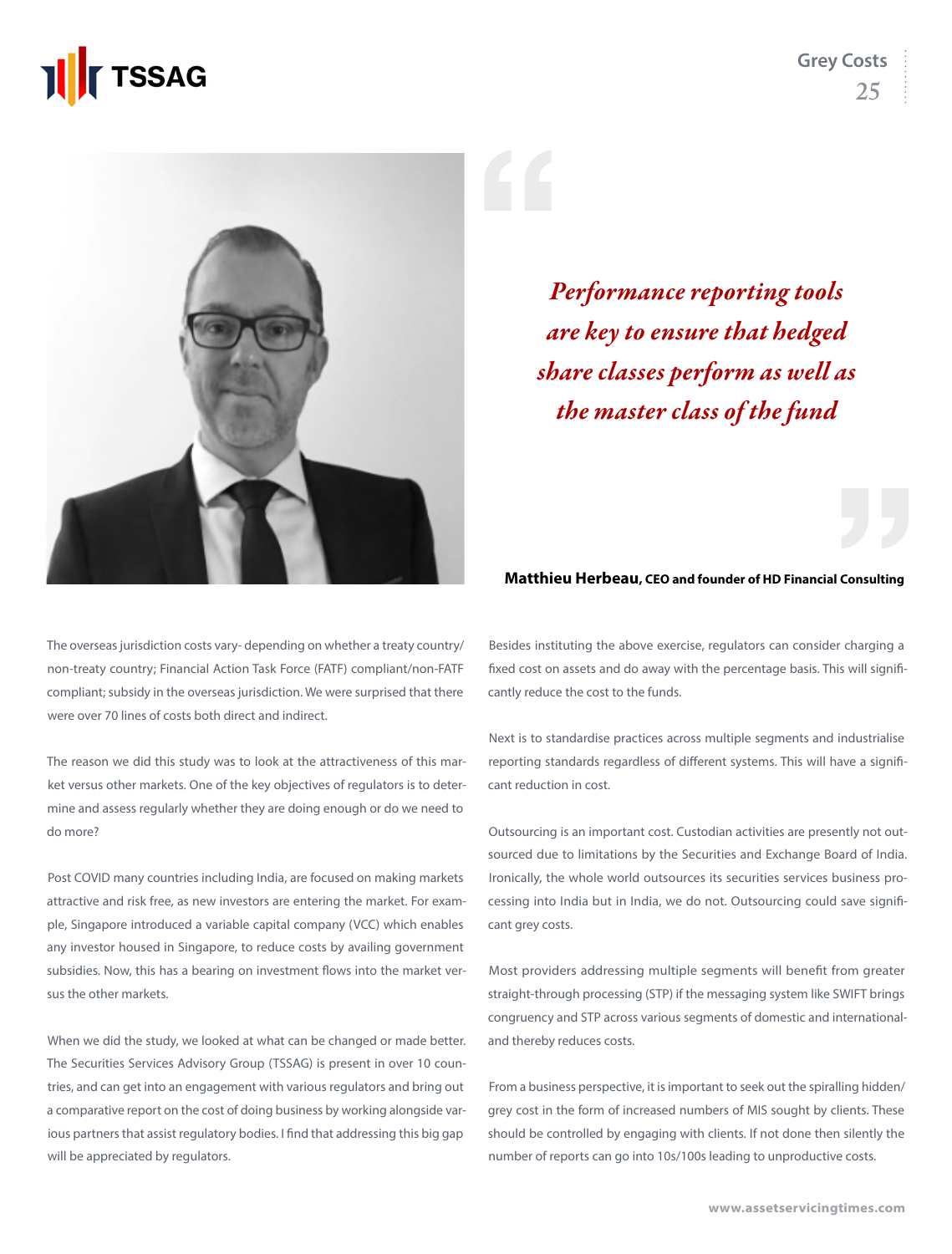

**Grey Costs 25**



*Performance reporting tools are key to ensure that hedged share classes perform as well as the master class of the fund*

#### **Matthieu Herbeau, CEO and founder of HD Financial Consulting**

The overseas jurisdiction costs vary- depending on whether a treaty country/ non-treaty country; Financial Action Task Force (FATF) compliant/non-FATF compliant; subsidy in the overseas jurisdiction. We were surprised that there were over 70 lines of costs both direct and indirect.

The reason we did this study was to look at the attractiveness of this market versus other markets. One of the key objectives of regulators is to determine and assess regularly whether they are doing enough or do we need to do more?

Post COVID many countries including India, are focused on making markets attractive and risk free, as new investors are entering the market. For example, Singapore introduced a variable capital company (VCC) which enables any investor housed in Singapore, to reduce costs by availing government subsidies. Now, this has a bearing on investment flows into the market versus the other markets.

When we did the study, we looked at what can be changed or made better. The Securities Services Advisory Group (TSSAG) is present in over 10 countries, and can get into an engagement with various regulators and bring out a comparative report on the cost of doing business by working alongside various partners that assist regulatory bodies. I find that addressing this big gap will be appreciated by regulators.

Besides instituting the above exercise, regulators can consider charging a fixed cost on assets and do away with the percentage basis. This will significantly reduce the cost to the funds.

Next is to standardise practices across multiple segments and industrialise reporting standards regardless of different systems. This will have a significant reduction in cost.

Outsourcing is an important cost. Custodian activities are presently not outsourced due to limitations by the Securities and Exchange Board of India. Ironically, the whole world outsources its securities services business processing into India but in India, we do not. Outsourcing could save significant grey costs.

Most providers addressing multiple segments will benefit from greater straight-through processing (STP) if the messaging system like SWIFT brings congruency and STP across various segments of domestic and internationaland thereby reduces costs.

From a business perspective, it is important to seek out the spiralling hidden/ grey cost in the form of increased numbers of MIS sought by clients. These should be controlled by engaging with clients. If not done then silently the number of reports can go into 10s/100s leading to unproductive costs.